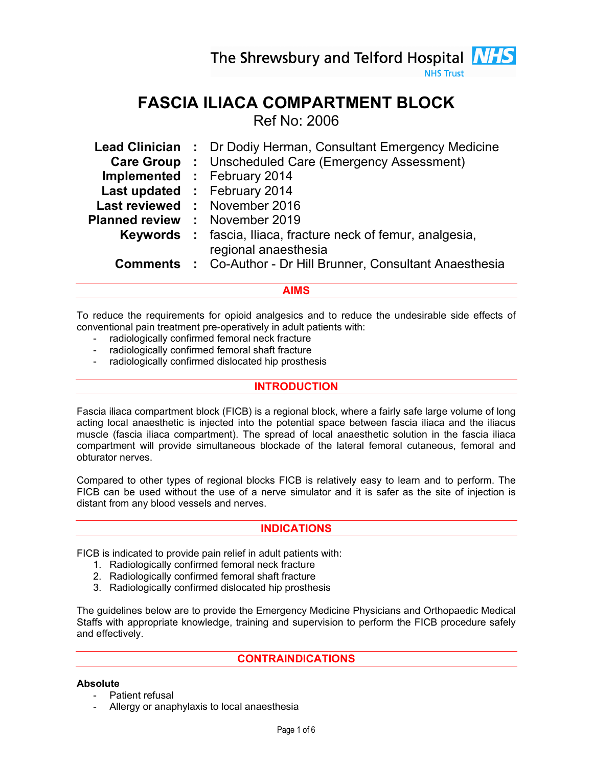The Shrewsbury and Telford Hospital **NHS** 

**NHS Trust** 

# FASCIA ILIACA COMPARTMENT BLOCK

Ref No: 2006

| <b>Lead Clinician</b> | : Dr Dodiy Herman, Consultant Emergency Medicine                     |
|-----------------------|----------------------------------------------------------------------|
| <b>Care Group</b>     | : Unscheduled Care (Emergency Assessment)                            |
|                       | <b>Implemented : February 2014</b>                                   |
|                       | Last updated : February 2014                                         |
|                       | Last reviewed : November 2016                                        |
| <b>Planned review</b> | : November 2019                                                      |
|                       | <b>Keywords</b> : fascia, Iliaca, fracture neck of femur, analgesia, |
|                       | regional anaesthesia                                                 |
| <b>Comments</b>       | : Co-Author - Dr Hill Brunner, Consultant Anaesthesia                |
|                       |                                                                      |

## AIMS

To reduce the requirements for opioid analgesics and to reduce the undesirable side effects of conventional pain treatment pre-operatively in adult patients with:

- radiologically confirmed femoral neck fracture
- radiologically confirmed femoral shaft fracture
- radiologically confirmed dislocated hip prosthesis

## INTRODUCTION

Fascia iliaca compartment block (FICB) is a regional block, where a fairly safe large volume of long acting local anaesthetic is injected into the potential space between fascia iliaca and the iliacus muscle (fascia iliaca compartment). The spread of local anaesthetic solution in the fascia iliaca compartment will provide simultaneous blockade of the lateral femoral cutaneous, femoral and obturator nerves.

Compared to other types of regional blocks FICB is relatively easy to learn and to perform. The FICB can be used without the use of a nerve simulator and it is safer as the site of injection is distant from any blood vessels and nerves.

## INDICATIONS

FICB is indicated to provide pain relief in adult patients with:

- 1. Radiologically confirmed femoral neck fracture
- 2. Radiologically confirmed femoral shaft fracture
- 3. Radiologically confirmed dislocated hip prosthesis

The guidelines below are to provide the Emergency Medicine Physicians and Orthopaedic Medical Staffs with appropriate knowledge, training and supervision to perform the FICB procedure safely and effectively.

## CONTRAINDICATIONS

#### Absolute

- Patient refusal
- Allergy or anaphylaxis to local anaesthesia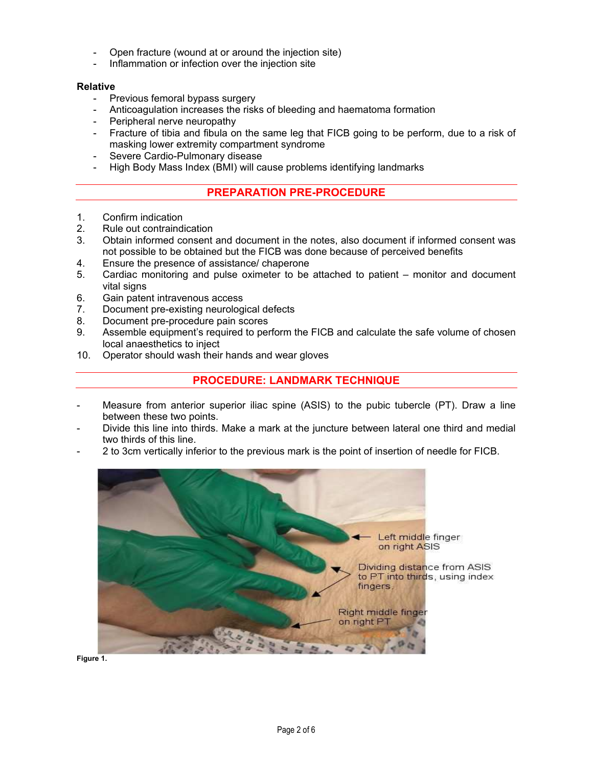- Open fracture (wound at or around the injection site)
- Inflammation or infection over the injection site

#### Relative

- Previous femoral bypass surgery
- Anticoagulation increases the risks of bleeding and haematoma formation
- Peripheral nerve neuropathy
- Fracture of tibia and fibula on the same leg that FICB going to be perform, due to a risk of masking lower extremity compartment syndrome
- Severe Cardio-Pulmonary disease
- High Body Mass Index (BMI) will cause problems identifying landmarks

## PREPARATION PRE-PROCEDURE

- 1. Confirm indication<br>2. Rule out contraind
- Rule out contraindication
- 3. Obtain informed consent and document in the notes, also document if informed consent was not possible to be obtained but the FICB was done because of perceived benefits
- 4. Ensure the presence of assistance/ chaperone
- 5. Cardiac monitoring and pulse oximeter to be attached to patient monitor and document vital signs
- 6. Gain patent intravenous access
- 7. Document pre-existing neurological defects
- 8. Document pre-procedure pain scores
- 9. Assemble equipment's required to perform the FICB and calculate the safe volume of chosen local anaesthetics to inject
- 10. Operator should wash their hands and wear gloves

## PROCEDURE: LANDMARK TECHNIQUE

- Measure from anterior superior iliac spine (ASIS) to the pubic tubercle (PT). Draw a line between these two points.
- Divide this line into thirds. Make a mark at the juncture between lateral one third and medial two thirds of this line.
- 2 to 3cm vertically inferior to the previous mark is the point of insertion of needle for FICB.



Figure 1.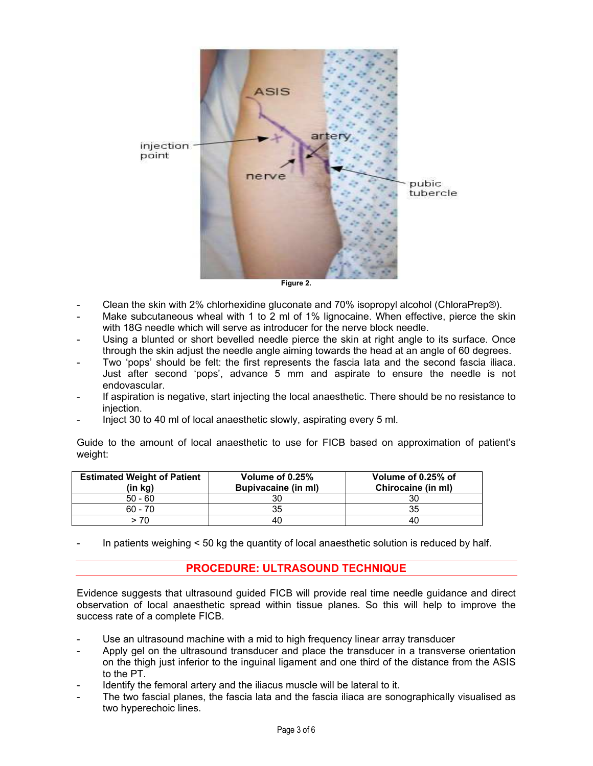

Figure 2.

- Clean the skin with 2% chlorhexidine gluconate and 70% isopropyl alcohol (ChloraPrep®).
- Make subcutaneous wheal with 1 to 2 ml of 1% lignocaine. When effective, pierce the skin with 18G needle which will serve as introducer for the nerve block needle.
- Using a blunted or short bevelled needle pierce the skin at right angle to its surface. Once through the skin adjust the needle angle aiming towards the head at an angle of 60 degrees.
- Two 'pops' should be felt: the first represents the fascia lata and the second fascia iliaca. Just after second 'pops', advance 5 mm and aspirate to ensure the needle is not endovascular.
- If aspiration is negative, start injecting the local anaesthetic. There should be no resistance to injection.
- Inject 30 to 40 ml of local anaesthetic slowly, aspirating every 5 ml.

Guide to the amount of local anaesthetic to use for FICB based on approximation of patient's weight:

| <b>Estimated Weight of Patient</b><br>(in kg) | Volume of 0.25%<br><b>Bupivacaine (in ml)</b> | Volume of 0.25% of<br>Chirocaine (in ml) |
|-----------------------------------------------|-----------------------------------------------|------------------------------------------|
| $50 - 60$                                     |                                               | 30                                       |
| $60 - 70$                                     |                                               | 35                                       |
| > 70                                          | 40                                            | 40                                       |

In patients weighing < 50 kg the quantity of local anaesthetic solution is reduced by half.

## PROCEDURE: ULTRASOUND TECHNIQUE

Evidence suggests that ultrasound guided FICB will provide real time needle guidance and direct observation of local anaesthetic spread within tissue planes. So this will help to improve the success rate of a complete FICB.

- Use an ultrasound machine with a mid to high frequency linear array transducer
- Apply gel on the ultrasound transducer and place the transducer in a transverse orientation on the thigh just inferior to the inguinal ligament and one third of the distance from the ASIS to the PT.
- Identify the femoral artery and the iliacus muscle will be lateral to it.
- The two fascial planes, the fascia lata and the fascia iliaca are sonographically visualised as two hyperechoic lines.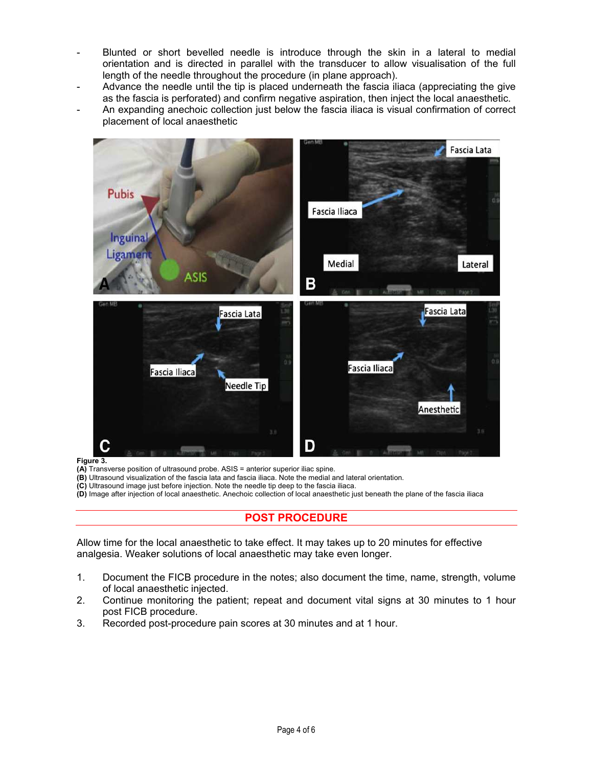- Blunted or short bevelled needle is introduce through the skin in a lateral to medial orientation and is directed in parallel with the transducer to allow visualisation of the full length of the needle throughout the procedure (in plane approach).
- Advance the needle until the tip is placed underneath the fascia iliaca (appreciating the give as the fascia is perforated) and confirm negative aspiration, then inject the local anaesthetic.
- An expanding anechoic collection just below the fascia iliaca is visual confirmation of correct placement of local anaesthetic



Figure 3.

- (A) Transverse position of ultrasound probe. ASIS = anterior superior iliac spine.
- (B) Ultrasound visualization of the fascia lata and fascia iliaca. Note the medial and lateral orientation.
- (C) Ultrasound image just before injection. Note the needle tip deep to the fascia iliaca.
- (D) Image after injection of local anaesthetic. Anechoic collection of local anaesthetic just beneath the plane of the fascia iliaca

## POST PROCEDURE

Allow time for the local anaesthetic to take effect. It may takes up to 20 minutes for effective analgesia. Weaker solutions of local anaesthetic may take even longer.

- 1. Document the FICB procedure in the notes; also document the time, name, strength, volume of local anaesthetic injected.
- 2. Continue monitoring the patient; repeat and document vital signs at 30 minutes to 1 hour post FICB procedure.
- 3. Recorded post-procedure pain scores at 30 minutes and at 1 hour.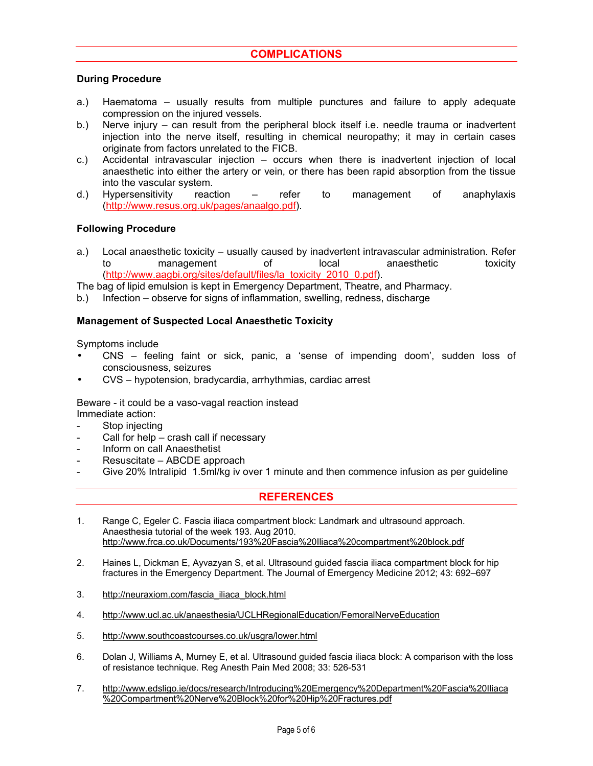# **COMPLICATIONS**

#### During Procedure

- a.) Haematoma usually results from multiple punctures and failure to apply adequate compression on the injured vessels.
- b.) Nerve injury can result from the peripheral block itself i.e. needle trauma or inadvertent injection into the nerve itself, resulting in chemical neuropathy; it may in certain cases originate from factors unrelated to the FICB.
- c.) Accidental intravascular injection occurs when there is inadvertent injection of local anaesthetic into either the artery or vein, or there has been rapid absorption from the tissue into the vascular system.
- d.) Hypersensitivity reaction refer to management of anaphylaxis (http://www.resus.org.uk/pages/anaalgo.pdf).

#### Following Procedure

a.) Local anaesthetic toxicity – usually caused by inadvertent intravascular administration. Refer to management of local anaesthetic toxicity (http://www.aagbi.org/sites/default/files/la\_toxicity\_2010\_0.pdf).

The bag of lipid emulsion is kept in Emergency Department, Theatre, and Pharmacy.

b.) Infection – observe for signs of inflammation, swelling, redness, discharge

#### Management of Suspected Local Anaesthetic Toxicity

Symptoms include

- CNS feeling faint or sick, panic, a 'sense of impending doom', sudden loss of consciousness, seizures
- CVS hypotension, bradycardia, arrhythmias, cardiac arrest

Beware - it could be a vaso-vagal reaction instead Immediate action:

- Stop injecting
- Call for help crash call if necessary
- Inform on call Anaesthetist
- Resuscitate ABCDE approach
- Give 20% Intralipid 1.5ml/kg iv over 1 minute and then commence infusion as per guideline

#### **REFERENCES**

- 1. Range C, Egeler C. Fascia iliaca compartment block: Landmark and ultrasound approach. Anaesthesia tutorial of the week 193. Aug 2010. http://www.frca.co.uk/Documents/193%20Fascia%20Iliaca%20compartment%20block.pdf
- 2. Haines L, Dickman E, Ayvazyan S, et al. Ultrasound guided fascia iliaca compartment block for hip fractures in the Emergency Department. The Journal of Emergency Medicine 2012; 43: 692–697
- 3. http://neuraxiom.com/fascia\_iliaca\_block.html
- 4. http://www.ucl.ac.uk/anaesthesia/UCLHRegionalEducation/FemoralNerveEducation
- 5. http://www.southcoastcourses.co.uk/usgra/lower.html
- 6. Dolan J, Williams A, Murney E, et al. Ultrasound guided fascia iliaca block: A comparison with the loss of resistance technique. Reg Anesth Pain Med 2008; 33: 526-531
- 7. http://www.edsligo.ie/docs/research/Introducing%20Emergency%20Department%20Fascia%20Iliaca %20Compartment%20Nerve%20Block%20for%20Hip%20Fractures.pdf